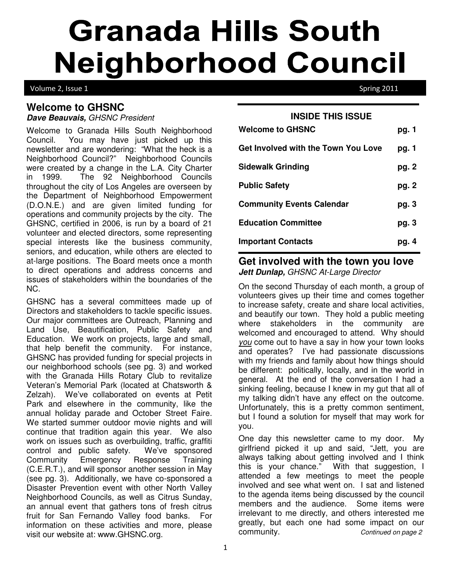# **Granada Hills South Neighborhood Council**

Volume 2, Issue 1 Spring 2011

### **Welcome to GHSNC**

**Dave Beauvais,** GHSNC President

Welcome to Granada Hills South Neighborhood Council. You may have just picked up this newsletter and are wondering: "What the heck is a Neighborhood Council?" Neighborhood Councils were created by a change in the L.A. City Charter in 1999. The 92 Neighborhood Councils throughout the city of Los Angeles are overseen by the Department of Neighborhood Empowerment (D.O.N.E.) and are given limited funding for operations and community projects by the city. The GHSNC, certified in 2006, is run by a board of 21 volunteer and elected directors, some representing special interests like the business community, seniors, and education, while others are elected to at-large positions. The Board meets once a month to direct operations and address concerns and issues of stakeholders within the boundaries of the NC.

GHSNC has a several committees made up of Directors and stakeholders to tackle specific issues. Our major committees are Outreach, Planning and Land Use, Beautification, Public Safety and Education. We work on projects, large and small, that help benefit the community. For instance, GHSNC has provided funding for special projects in our neighborhood schools (see pg. 3) and worked with the Granada Hills Rotary Club to revitalize Veteran's Memorial Park (located at Chatsworth & Zelzah). We've collaborated on events at Petit Park and elsewhere in the community, like the annual holiday parade and October Street Faire. We started summer outdoor movie nights and will continue that tradition again this year. We also work on issues such as overbuilding, traffic, graffiti control and public safety. We've sponsored Community Emergency Response Training (C.E.R.T.), and will sponsor another session in May (see pg. 3). Additionally, we have co-sponsored a Disaster Prevention event with other North Valley Neighborhood Councils, as well as Citrus Sunday, an annual event that gathers tons of fresh citrus fruit for San Fernando Valley food banks. For information on these activities and more, please visit our website at: www.GHSNC.org.

| <b>INSIDE THIS ISSUE</b>            |       |
|-------------------------------------|-------|
| <b>Welcome to GHSNC</b>             | pg. 1 |
| Get Involved with the Town You Love | pg. 1 |
| <b>Sidewalk Grinding</b>            | pg. 2 |
| <b>Public Safety</b>                | pg. 2 |
| <b>Community Events Calendar</b>    | pg. 3 |
| <b>Education Committee</b>          | pg. 3 |
| <b>Important Contacts</b>           | pg. 4 |

#### **Get involved with the town you love Jett Dunlap,** GHSNC At-Large Director

On the second Thursday of each month, a group of volunteers gives up their time and comes together to increase safety, create and share local activities, and beautify our town. They hold a public meeting where stakeholders in the community are welcomed and encouraged to attend. Why should you come out to have a say in how your town looks and operates? I've had passionate discussions with my friends and family about how things should be different: politically, locally, and in the world in general. At the end of the conversation I had a sinking feeling, because I knew in my gut that all of my talking didn't have any effect on the outcome. Unfortunately, this is a pretty common sentiment, but I found a solution for myself that may work for you.

One day this newsletter came to my door. My girlfriend picked it up and said, "Jett, you are always talking about getting involved and I think this is your chance." With that suggestion, I attended a few meetings to meet the people involved and see what went on. I sat and listened to the agenda items being discussed by the council members and the audience. Some items were irrelevant to me directly, and others interested me greatly, but each one had some impact on our community. Continued on page 2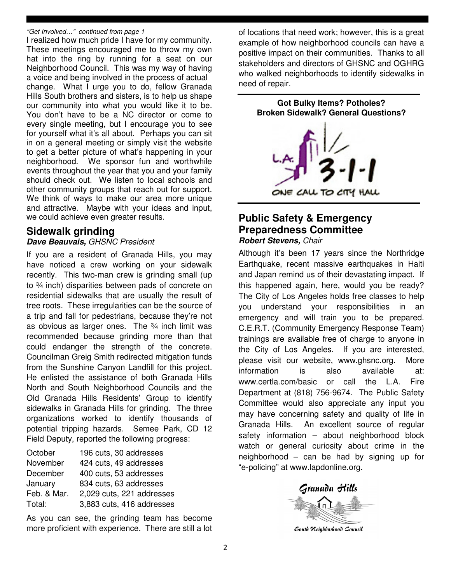#### "Get Involved…" continued from page 1

I realized how much pride I have for my community. These meetings encouraged me to throw my own hat into the ring by running for a seat on our Neighborhood Council. This was my way of having a voice and being involved in the process of actual change. What I urge you to do, fellow Granada Hills South brothers and sisters, is to help us shape our community into what you would like it to be. You don't have to be a NC director or come to every single meeting, but I encourage you to see for yourself what it's all about. Perhaps you can sit in on a general meeting or simply visit the website to get a better picture of what's happening in your neighborhood. We sponsor fun and worthwhile events throughout the year that you and your family should check out. We listen to local schools and other community groups that reach out for support. We think of ways to make our area more unique and attractive. Maybe with your ideas and input, we could achieve even greater results.

#### **Sidewalk grinding**

#### **Dave Beauvais,** GHSNC President

If you are a resident of Granada Hills, you may have noticed a crew working on your sidewalk recently. This two-man crew is grinding small (up to ¾ inch) disparities between pads of concrete on residential sidewalks that are usually the result of tree roots. These irregularities can be the source of a trip and fall for pedestrians, because they're not as obvious as larger ones. The  $\frac{3}{4}$  inch limit was recommended because grinding more than that could endanger the strength of the concrete. Councilman Greig Smith redirected mitigation funds from the Sunshine Canyon Landfill for this project. He enlisted the assistance of both Granada Hills North and South Neighborhood Councils and the Old Granada Hills Residents' Group to identify sidewalks in Granada Hills for grinding. The three organizations worked to identify thousands of potential tripping hazards. Semee Park, CD 12 Field Deputy, reported the following progress:

| October     | 196 cuts, 30 addresses    |
|-------------|---------------------------|
| November    | 424 cuts, 49 addresses    |
| December    | 400 cuts, 53 addresses    |
| January     | 834 cuts, 63 addresses    |
| Feb. & Mar. | 2,029 cuts, 221 addresses |
| Total:      | 3,883 cuts, 416 addresses |

As you can see, the grinding team has become more proficient with experience. There are still a lot

of locations that need work; however, this is a great example of how neighborhood councils can have a positive impact on their communities. Thanks to all stakeholders and directors of GHSNC and OGHRG who walked neighborhoods to identify sidewalks in need of repair.



#### **Public Safety & Emergency Preparedness Committee Robert Stevens,** Chair

Although it's been 17 years since the Northridge Earthquake, recent massive earthquakes in Haiti and Japan remind us of their devastating impact. If this happened again, here, would you be ready? The City of Los Angeles holds free classes to help you understand your responsibilities in an emergency and will train you to be prepared. C.E.R.T. (Community Emergency Response Team) trainings are available free of charge to anyone in the City of Los Angeles. If you are interested, please visit our website, www.ghsnc.org. More information is also available at: www.certla.com/basic or call the L.A. Fire Department at (818) 756-9674. The Public Safety Committee would also appreciate any input you may have concerning safety and quality of life in Granada Hills. An excellent source of regular safety information – about neighborhood block watch or general curiosity about crime in the neighborhood – can be had by signing up for "e-policing" at www.lapdonline.org.



South Neighborhood Council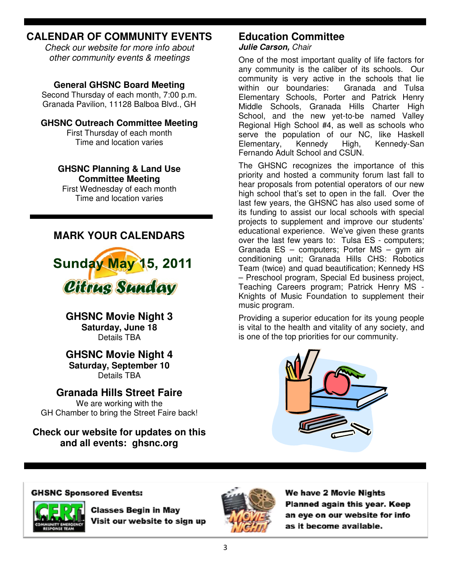## **CALENDAR OF COMMUNITY EVENTS**

Check our website for more info about other community events & meetings

#### **General GHSNC Board Meeting**

Second Thursday of each month, 7:00 p.m. Granada Pavilion, 11128 Balboa Blvd., GH

#### **GHSNC Outreach Committee Meeting**

First Thursday of each month Time and location varies

#### **GHSNC Planning & Land Use Committee Meeting**

First Wednesday of each month Time and location varies

## **MARK YOUR CALENDARS**



**GHSNC Movie Night 3 Saturday, June 18**  Details TBA

#### **GHSNC Movie Night 4 Saturday, September 10**  Details TBA

**Granada Hills Street Faire**  We are working with the GH Chamber to bring the Street Faire back!

**Check our website for updates on this and all events: ghsnc.org**

## **Education Committee**

**Julie Carson,** Chair

One of the most important quality of life factors for any community is the caliber of its schools. Our community is very active in the schools that lie within our boundaries: Granada and Tulsa Elementary Schools, Porter and Patrick Henry Middle Schools, Granada Hills Charter High School, and the new yet-to-be named Valley Regional High School #4, as well as schools who serve the population of our NC, like Haskell Elementary, Kennedy High, Kennedy-San Fernando Adult School and CSUN.

The GHSNC recognizes the importance of this priority and hosted a community forum last fall to hear proposals from potential operators of our new high school that's set to open in the fall. Over the last few years, the GHSNC has also used some of its funding to assist our local schools with special projects to supplement and improve our students' educational experience. We've given these grants over the last few years to: Tulsa ES - computers; Granada ES – computers; Porter MS – gym air conditioning unit; Granada Hills CHS: Robotics Team (twice) and quad beautification; Kennedy HS – Preschool program, Special Ed business project, Teaching Careers program; Patrick Henry MS - Knights of Music Foundation to supplement their music program.

Providing a superior education for its young people is vital to the health and vitality of any society, and is one of the top priorities for our community.



#### **GHSNC Sponsored Events:**



**Classes Begin in May** Visit our website to sign up



We have 2 Movie Nights Planned again this year. Keep an eve on our website for info as it become available.